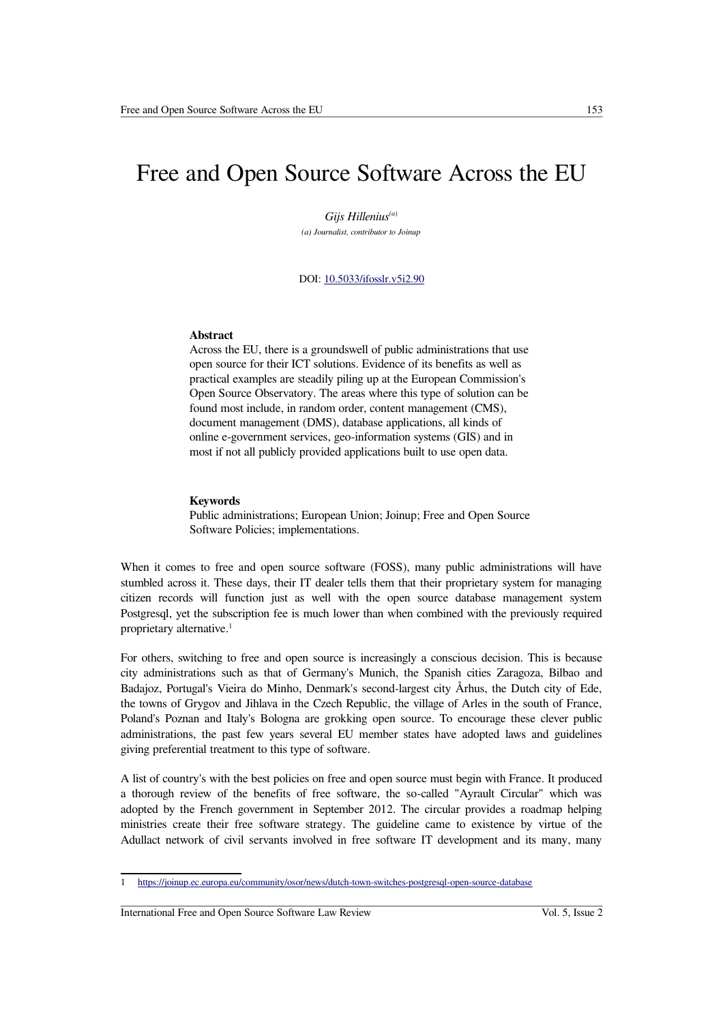# Free and Open Source Software Across the EU

*Gijs Hillenius(a) (a) Journalist, contributor to Joinup*

## DOI: [10.5033/ifosslr.v5i2.90](http://dx.doi.org/10.5033/ifosslr.v5i2.90)

#### **Abstract**

Across the EU, there is a groundswell of public administrations that use open source for their ICT solutions. Evidence of its benefits as well as practical examples are steadily piling up at the European Commission's Open Source Observatory. The areas where this type of solution can be found most include, in random order, content management (CMS), document management (DMS), database applications, all kinds of online e-government services, geo-information systems (GIS) and in most if not all publicly provided applications built to use open data.

#### **Keywords**

Public administrations; European Union; Joinup; Free and Open Source Software Policies; implementations.

When it comes to free and open source software (FOSS), many public administrations will have stumbled across it. These days, their IT dealer tells them that their proprietary system for managing citizen records will function just as well with the open source database management system Postgresql, yet the subscription fee is much lower than when combined with the previously required proprietary alternative.<sup>[1](#page-0-0)</sup>

For others, switching to free and open source is increasingly a conscious decision. This is because city administrations such as that of Germany's Munich, the Spanish cities Zaragoza, Bilbao and Badajoz, Portugal's Vieira do Minho, Denmark's second-largest city Århus, the Dutch city of Ede, the towns of Grygov and Jihlava in the Czech Republic, the village of Arles in the south of France, Poland's Poznan and Italy's Bologna are grokking open source. To encourage these clever public administrations, the past few years several EU member states have adopted laws and guidelines giving preferential treatment to this type of software.

A list of country's with the best policies on free and open source must begin with France. It produced a thorough review of the benefits of free software, the so-called "Ayrault Circular" which was adopted by the French government in September 2012. The circular provides a roadmap helping ministries create their free software strategy. The guideline came to existence by virtue of the Adullact network of civil servants involved in free software IT development and its many, many

<span id="page-0-0"></span><sup>1</sup> <https://joinup.ec.europa.eu/community/osor/news/dutch-town-switches-postgresql-open-source-database>

International Free and Open Source Software Law Review Vol. 5, Issue 2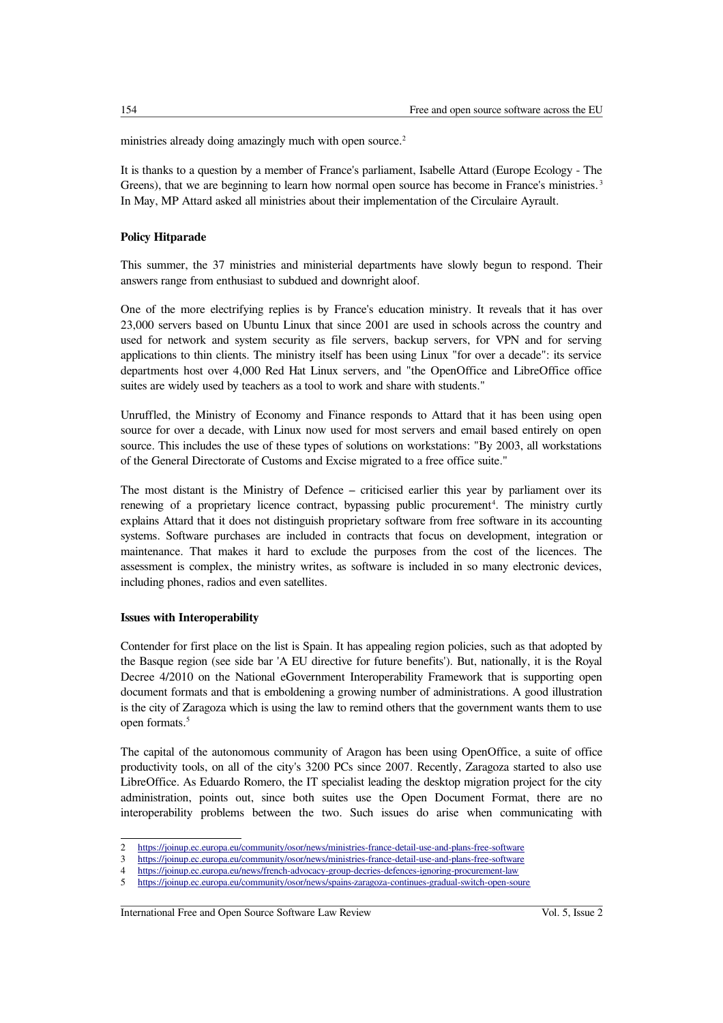ministries already doing amazingly much with open source.<sup>[2](#page-1-0)</sup>

It is thanks to a question by a member of France's parliament, Isabelle Attard (Europe Ecology - The Greens), that we are beginning to learn how normal open source has become in France's ministries.<sup>[3](#page-1-1)</sup> In May, MP Attard asked all ministries about their implementation of the Circulaire Ayrault.

# **Policy Hitparade**

This summer, the 37 ministries and ministerial departments have slowly begun to respond. Their answers range from enthusiast to subdued and downright aloof.

One of the more electrifying replies is by France's education ministry. It reveals that it has over 23,000 servers based on Ubuntu Linux that since 2001 are used in schools across the country and used for network and system security as file servers, backup servers, for VPN and for serving applications to thin clients. The ministry itself has been using Linux "for over a decade": its service departments host over 4,000 Red Hat Linux servers, and "the OpenOffice and LibreOffice office suites are widely used by teachers as a tool to work and share with students."

Unruffled, the Ministry of Economy and Finance responds to Attard that it has been using open source for over a decade, with Linux now used for most servers and email based entirely on open source. This includes the use of these types of solutions on workstations: "By 2003, all workstations of the General Directorate of Customs and Excise migrated to a free office suite."

The most distant is the Ministry of Defence – criticised earlier this year by parliament over its renewing of a proprietary licence contract, bypassing public procurement<sup>[4](#page-1-2)</sup>. The ministry curtly explains Attard that it does not distinguish proprietary software from free software in its accounting systems. Software purchases are included in contracts that focus on development, integration or maintenance. That makes it hard to exclude the purposes from the cost of the licences. The assessment is complex, the ministry writes, as software is included in so many electronic devices, including phones, radios and even satellites.

## **Issues with Interoperability**

Contender for first place on the list is Spain. It has appealing region policies, such as that adopted by the Basque region (see side bar 'A EU directive for future benefits'). But, nationally, it is the Royal Decree 4/2010 on the National eGovernment Interoperability Framework that is supporting open document formats and that is emboldening a growing number of administrations. A good illustration is the city of Zaragoza which is using the law to remind others that the government wants them to use open formats.[5](#page-1-3)

The capital of the autonomous community of Aragon has been using OpenOffice, a suite of office productivity tools, on all of the city's 3200 PCs since 2007. Recently, Zaragoza started to also use LibreOffice. As Eduardo Romero, the IT specialist leading the desktop migration project for the city administration, points out, since both suites use the Open Document Format, there are no interoperability problems between the two. Such issues do arise when communicating with

<span id="page-1-0"></span><sup>2</sup> <https://joinup.ec.europa.eu/community/osor/news/ministries-france-detail-use-and-plans-free-software><br>3 https://joinup.ec.europa.eu/community/osor/news/ministries-france-detail-use-and-plans-free-software

<span id="page-1-1"></span><sup>3</sup> <https://joinup.ec.europa.eu/community/osor/news/ministries-france-detail-use-and-plans-free-software><br>4 https://joinup.ec.europa.eu/news/french-advocacy-group-decries-defences-jonoring-procurement-law

<span id="page-1-2"></span><sup>4</sup><https://joinup.ec.europa.eu/news/french-advocacy-group-decries-defences-ignoring-procurement-law><br>5 https://joinup.ec.europa.eu/community/osor/news/spains-zaragoza-continues-gradual-switch-open-sou

<span id="page-1-3"></span><sup>5</sup> [https://joinup.ec.europa.eu/community/osor/news/spains-zaragoza-continues-gradual-switch-open-soure](https://joinup.ec.europa.eu/community/osor/news/spains-zaragoza-continues-gradual-switch-open-source)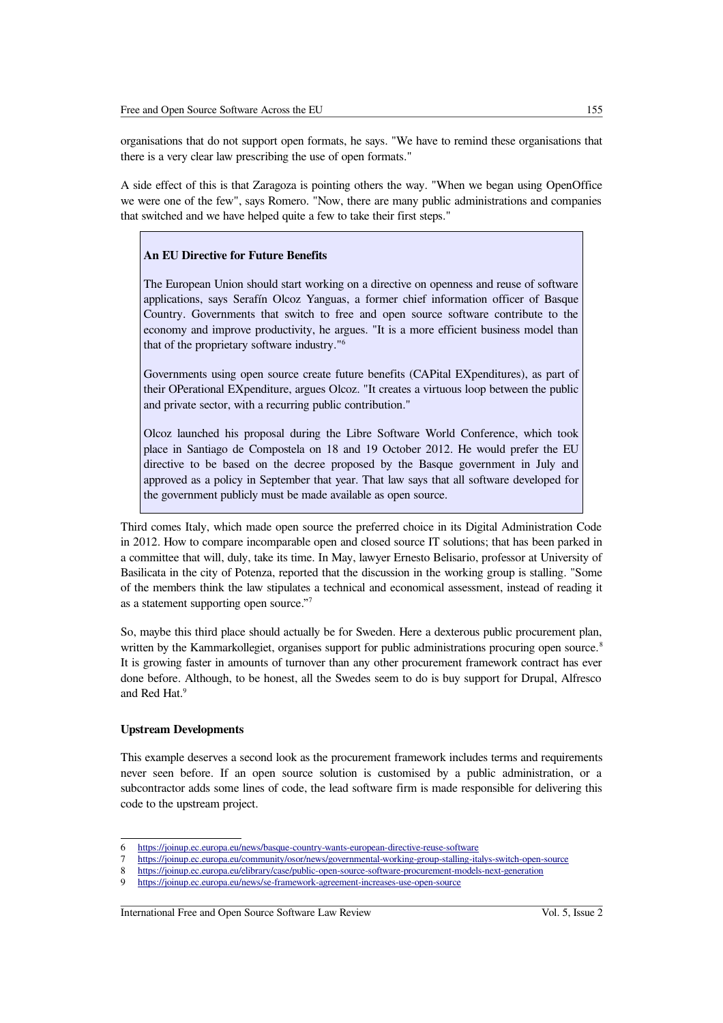organisations that do not support open formats, he says. "We have to remind these organisations that there is a very clear law prescribing the use of open formats."

A side effect of this is that Zaragoza is pointing others the way. "When we began using OpenOffice we were one of the few", says Romero. "Now, there are many public administrations and companies that switched and we have helped quite a few to take their first steps."

#### **An EU Directive for Future Benefits**

The European Union should start working on a directive on openness and reuse of software applications, says Serafín Olcoz Yanguas, a former chief information officer of Basque Country. Governments that switch to free and open source software contribute to the economy and improve productivity, he argues. "It is a more efficient business model than that of the proprietary software industry."[6](#page-2-0)

Governments using open source create future benefits (CAPital EXpenditures), as part of their OPerational EXpenditure, argues Olcoz. "It creates a virtuous loop between the public and private sector, with a recurring public contribution."

Olcoz launched his proposal during the Libre Software World Conference, which took place in Santiago de Compostela on 18 and 19 October 2012. He would prefer the EU directive to be based on the decree proposed by the Basque government in July and approved as a policy in September that year. That law says that all software developed for the government publicly must be made available as open source.

Third comes Italy, which made open source the preferred choice in its Digital Administration Code in 2012. How to compare incomparable open and closed source IT solutions; that has been parked in a committee that will, duly, take its time. In May, lawyer Ernesto Belisario, professor at University of Basilicata in the city of Potenza, reported that the discussion in the working group is stalling. "Some of the members think the law stipulates a technical and economical assessment, instead of reading it as a statement supporting open source."[7](#page-2-1)

So, maybe this third place should actually be for Sweden. Here a dexterous public procurement plan, written by the Kammarkollegiet, organises support for public administrations procuring open source.<sup>[8](#page-2-2)</sup> It is growing faster in amounts of turnover than any other procurement framework contract has ever done before. Although, to be honest, all the Swedes seem to do is buy support for Drupal, Alfresco and Red Hat.<sup>[9](#page-2-3)</sup>

## **Upstream Developments**

This example deserves a second look as the procurement framework includes terms and requirements never seen before. If an open source solution is customised by a public administration, or a subcontractor adds some lines of code, the lead software firm is made responsible for delivering this code to the upstream project.

<span id="page-2-0"></span><sup>6</sup> <https://joinup.ec.europa.eu/news/basque-country-wants-european-directive-reuse-software>

<span id="page-2-1"></span><sup>7</sup> <https://joinup.ec.europa.eu/community/osor/news/governmental-working-group-stalling-italys-switch-open-source><br>8 https://joinup.ec.europa.eu/elibrary/case/public-open-source-software-procurement-models-next-generation

<span id="page-2-2"></span><sup>8</sup> <https://joinup.ec.europa.eu/elibrary/case/public-open-source-software-procurement-models-next-generation><br>9 https://joinup.ec.europa.eu/news/se-framework-agreement-increases-use-open-source

<span id="page-2-3"></span><https://joinup.ec.europa.eu/news/se-framework-agreement-increases-use-open-source>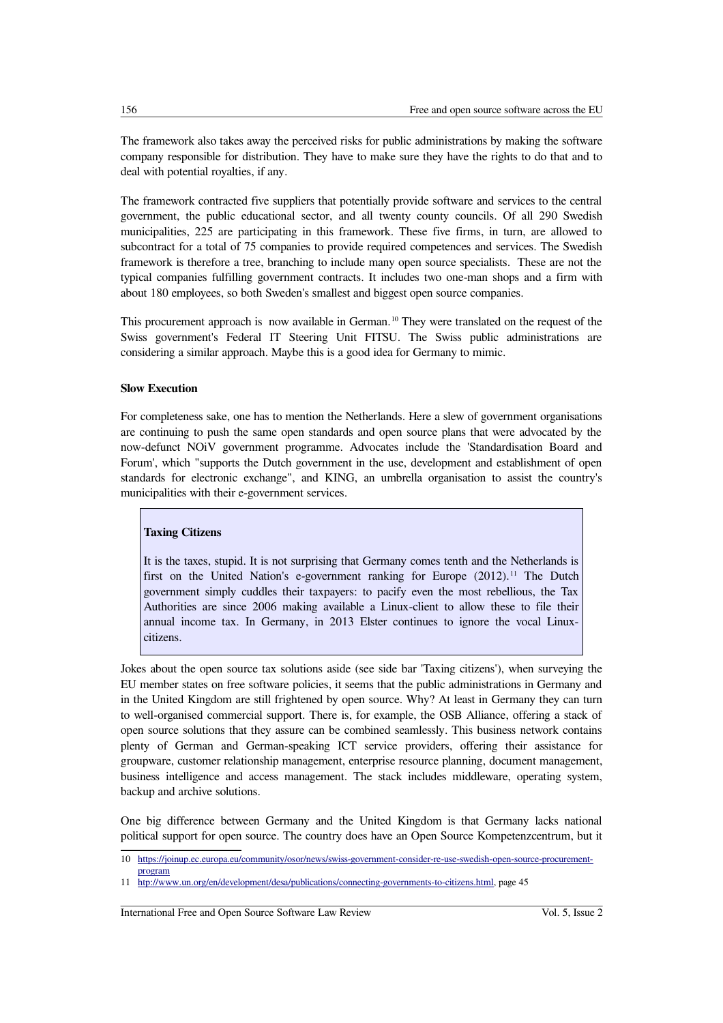The framework also takes away the perceived risks for public administrations by making the software company responsible for distribution. They have to make sure they have the rights to do that and to deal with potential royalties, if any.

The framework contracted five suppliers that potentially provide software and services to the central government, the public educational sector, and all twenty county councils. Of all 290 Swedish municipalities, 225 are participating in this framework. These five firms, in turn, are allowed to subcontract for a total of 75 companies to provide required competences and services. The Swedish framework is therefore a tree, branching to include many open source specialists. These are not the typical companies fulfilling government contracts. It includes two one-man shops and a firm with about 180 employees, so both Sweden's smallest and biggest open source companies.

This procurement approach is now available in German.<sup>[10](#page-3-0)</sup> They were translated on the request of the Swiss government's Federal IT Steering Unit FITSU. The Swiss public administrations are considering a similar approach. Maybe this is a good idea for Germany to mimic.

## **Slow Execution**

For completeness sake, one has to mention the Netherlands. Here a slew of government organisations are continuing to push the same open standards and open source plans that were advocated by the now-defunct NOiV government programme. Advocates include the 'Standardisation Board and Forum', which "supports the Dutch government in the use, development and establishment of open standards for electronic exchange", and KING, an umbrella organisation to assist the country's municipalities with their e-government services.

## **Taxing Citizens**

It is the taxes, stupid. It is not surprising that Germany comes tenth and the Netherlands is first on the United Nation's e-government ranking for Europe  $(2012)$ .<sup>[11](#page-3-1)</sup> The Dutch government simply cuddles their taxpayers: to pacify even the most rebellious, the Tax Authorities are since 2006 making available a Linux-client to allow these to file their annual income tax. In Germany, in 2013 Elster continues to ignore the vocal Linuxcitizens.

Jokes about the open source tax solutions aside (see side bar 'Taxing citizens'), when surveying the EU member states on free software policies, it seems that the public administrations in Germany and in the United Kingdom are still frightened by open source. Why? At least in Germany they can turn to well-organised commercial support. There is, for example, the OSB Alliance, offering a stack of open source solutions that they assure can be combined seamlessly. This business network contains plenty of German and German-speaking ICT service providers, offering their assistance for groupware, customer relationship management, enterprise resource planning, document management, business intelligence and access management. The stack includes middleware, operating system, backup and archive solutions.

One big difference between Germany and the United Kingdom is that Germany lacks national political support for open source. The country does have an Open Source Kompetenzcentrum, but it

<span id="page-3-0"></span><sup>10</sup> [https://joinup.ec.europa.eu/community/osor/news/swiss-government-consider-re-use-swedish-open-source-procurement](https://joinup.ec.europa.eu/community/osor/news/swiss-government-consider-re-use-swedish-open-source-procurement-program)[program](https://joinup.ec.europa.eu/community/osor/news/swiss-government-consider-re-use-swedish-open-source-procurement-program)

<span id="page-3-1"></span><sup>11</sup> [htp://www.un.org/en/development/desa/publications/connecting-governments-to-citizens.html,](http://www.un.org/en/development/desa/publications/connecting-governments-to-citizens.html) page 45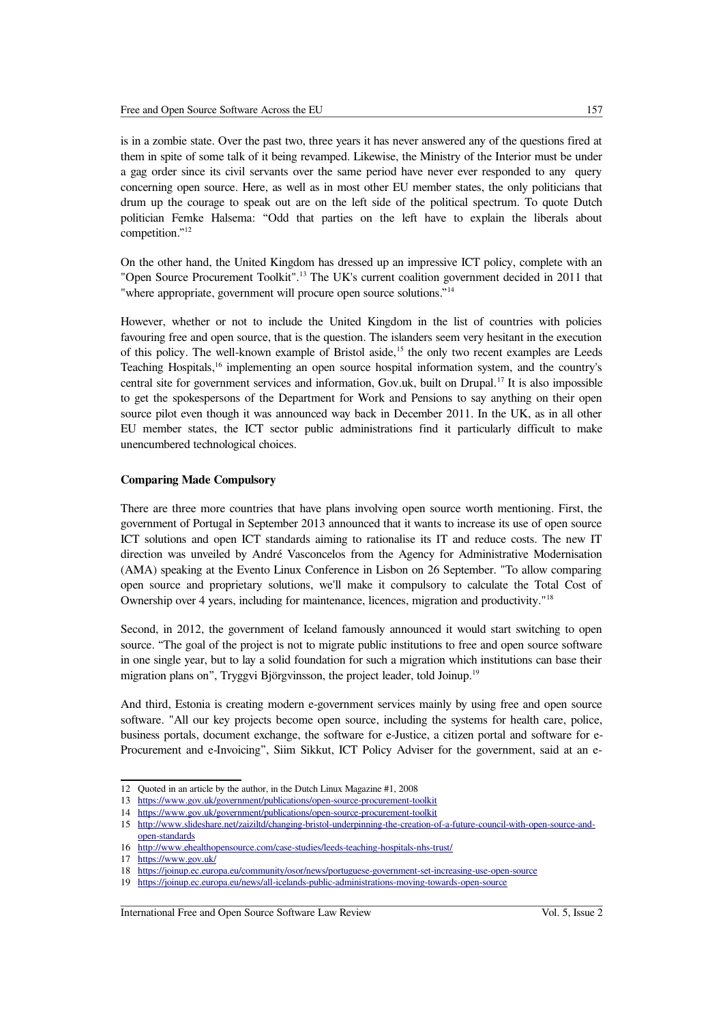is in a zombie state. Over the past two, three years it has never answered any of the questions fired at them in spite of some talk of it being revamped. Likewise, the Ministry of the Interior must be under a gag order since its civil servants over the same period have never ever responded to any query concerning open source. Here, as well as in most other EU member states, the only politicians that drum up the courage to speak out are on the left side of the political spectrum. To quote Dutch politician Femke Halsema: "Odd that parties on the left have to explain the liberals about competition."[12](#page-4-0)

On the other hand, the United Kingdom has dressed up an impressive ICT policy, complete with an "Open Source Procurement Toolkit".<sup>[13](#page-4-1)</sup> The UK's current coalition government decided in 2011 that "where appropriate, government will procure open source solutions."[14](#page-4-2)

However, whether or not to include the United Kingdom in the list of countries with policies favouring free and open source, that is the question. The islanders seem very hesitant in the execution of this policy. The well-known example of Bristol aside,<sup>[15](#page-4-3)</sup> the only two recent examples are Leeds Teaching Hospitals,[16](#page-4-4) implementing an open source hospital information system, and the country's central site for government services and information, Gov.uk, built on Drupal.[17](#page-4-5) It is also impossible to get the spokespersons of the Department for Work and Pensions to say anything on their open source pilot even though it was announced way back in December 2011. In the UK, as in all other EU member states, the ICT sector public administrations find it particularly difficult to make unencumbered technological choices.

### **Comparing Made Compulsory**

There are three more countries that have plans involving open source worth mentioning. First, the government of Portugal in September 2013 announced that it wants to increase its use of open source ICT solutions and open ICT standards aiming to rationalise its IT and reduce costs. The new IT direction was unveiled by André Vasconcelos from the Agency for Administrative Modernisation (AMA) speaking at the Evento Linux Conference in Lisbon on 26 September. "To allow comparing open source and proprietary solutions, we'll make it compulsory to calculate the Total Cost of Ownership over 4 years, including for maintenance, licences, migration and productivity."[18](#page-4-6)

Second, in 2012, the government of Iceland famously announced it would start switching to open source. "The goal of the project is not to migrate public institutions to free and open source software in one single year, but to lay a solid foundation for such a migration which institutions can base their migration plans on", Tryggvi Björgvinsson, the project leader, told Joinup.[19](#page-4-7)

And third, Estonia is creating modern e-government services mainly by using free and open source software. "All our key projects become open source, including the systems for health care, police, business portals, document exchange, the software for e-Justice, a citizen portal and software for e-Procurement and e-Invoicing", Siim Sikkut, ICT Policy Adviser for the government, said at an e-

<span id="page-4-0"></span><sup>12</sup> Quoted in an article by the author, in the Dutch Linux Magazine #1, 2008

<span id="page-4-1"></span><sup>13</sup> <https://www.gov.uk/government/publications/open-source-procurement-toolkit>

<span id="page-4-2"></span><sup>14</sup> <https://www.gov.uk/government/publications/open-source-procurement-toolkit>

<span id="page-4-3"></span><sup>15</sup> [http://www.slideshare.net/zaiziltd/changing-bristol-underpinning-the-creation-of-a-future-council-with-open-source-and](http://www.slideshare.net/zaiziltd/changing-bristol-underpinning-the-creation-of-a-future-council-with-open-source-and-open-standards)[open-standards](http://www.slideshare.net/zaiziltd/changing-bristol-underpinning-the-creation-of-a-future-council-with-open-source-and-open-standards)

<span id="page-4-4"></span><sup>16</sup> <http://www.ehealthopensource.com/case-studies/leeds-teaching-hospitals-nhs-trust/>

<span id="page-4-5"></span><sup>17</sup> <https://www.gov.uk/>

<span id="page-4-6"></span><sup>18</sup> <https://joinup.ec.europa.eu/community/osor/news/portuguese-government-set-increasing-use-open-source>

<span id="page-4-7"></span><sup>19</sup> <https://joinup.ec.europa.eu/news/all-icelands-public-administrations-moving-towards-open-source>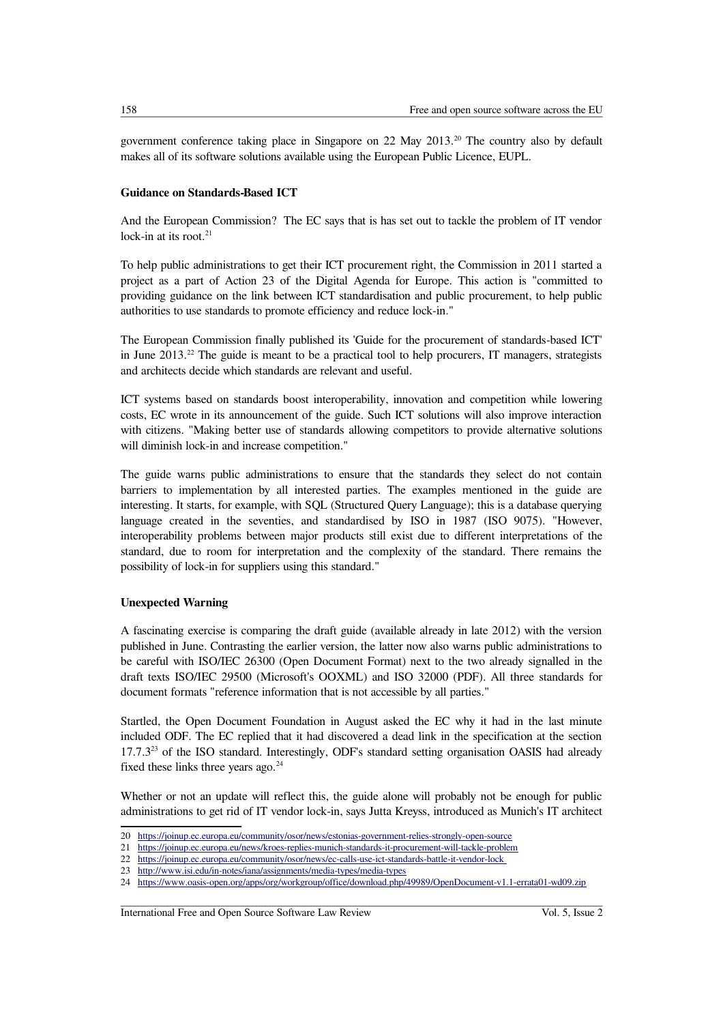government conference taking place in Singapore on 22 May 2013.[20](#page-5-0) The country also by default makes all of its software solutions available using the European Public Licence, EUPL.

## **Guidance on Standards-Based ICT**

And the European Commission? The EC says that is has set out to tackle the problem of IT vendor lock-in at its root. $21$ 

To help public administrations to get their ICT procurement right, the Commission in 2011 started a project as a part of Action 23 of the Digital Agenda for Europe. This action is "committed to providing guidance on the link between ICT standardisation and public procurement, to help public authorities to use standards to promote efficiency and reduce lock-in."

The European Commission finally published its 'Guide for the procurement of standards-based ICT' in June  $2013<sup>22</sup>$  $2013<sup>22</sup>$  $2013<sup>22</sup>$  The guide is meant to be a practical tool to help procurers, IT managers, strategists and architects decide which standards are relevant and useful.

ICT systems based on standards boost interoperability, innovation and competition while lowering costs, EC wrote in its announcement of the guide. Such ICT solutions will also improve interaction with citizens. "Making better use of standards allowing competitors to provide alternative solutions will diminish lock-in and increase competition."

The guide warns public administrations to ensure that the standards they select do not contain barriers to implementation by all interested parties. The examples mentioned in the guide are interesting. It starts, for example, with SQL (Structured Query Language); this is a database querying language created in the seventies, and standardised by ISO in 1987 (ISO 9075). "However, interoperability problems between major products still exist due to different interpretations of the standard, due to room for interpretation and the complexity of the standard. There remains the possibility of lock-in for suppliers using this standard."

# **Unexpected Warning**

A fascinating exercise is comparing the draft guide (available already in late 2012) with the version published in June. Contrasting the earlier version, the latter now also warns public administrations to be careful with ISO/IEC 26300 (Open Document Format) next to the two already signalled in the draft texts ISO/IEC 29500 (Microsoft's OOXML) and ISO 32000 (PDF). All three standards for document formats "reference information that is not accessible by all parties."

Startled, the Open Document Foundation in August asked the EC why it had in the last minute included ODF. The EC replied that it had discovered a dead link in the specification at the section  $17.7.3^{23}$  $17.7.3^{23}$  $17.7.3^{23}$  of the ISO standard. Interestingly, ODF's standard setting organisation OASIS had already fixed these links three years ago.<sup>[24](#page-5-4)</sup>

Whether or not an update will reflect this, the guide alone will probably not be enough for public administrations to get rid of IT vendor lock-in, says Jutta Kreyss, introduced as Munich's IT architect

<span id="page-5-0"></span><sup>20</sup> <https://joinup.ec.europa.eu/community/osor/news/estonias-government-relies-strongly-open-source>

<span id="page-5-1"></span><sup>21</sup> <https://joinup.ec.europa.eu/news/kroes-replies-munich-standards-it-procurement-will-tackle-problem><br>22 https://joinup.ec.europa.eu/community/osor/news/ec-calls-use-ict-standards-battle-it-vendor-lock

<span id="page-5-2"></span><sup>22</sup> https://joinup.ec.europa.eu/community/osor/news/ec-calls-use-ict-standards-battle-it-vendor-lock<br>23 http://www.isi.edu/in-notes/jana/assignments/media-types/media-types

<span id="page-5-3"></span><sup>23</sup> <http://www.isi.edu/in-notes/iana/assignments/media-types/media-types>

<span id="page-5-4"></span><sup>24</sup> <https://www.oasis-open.org/apps/org/workgroup/office/download.php/49989/OpenDocument-v1.1-errata01-wd09.zip>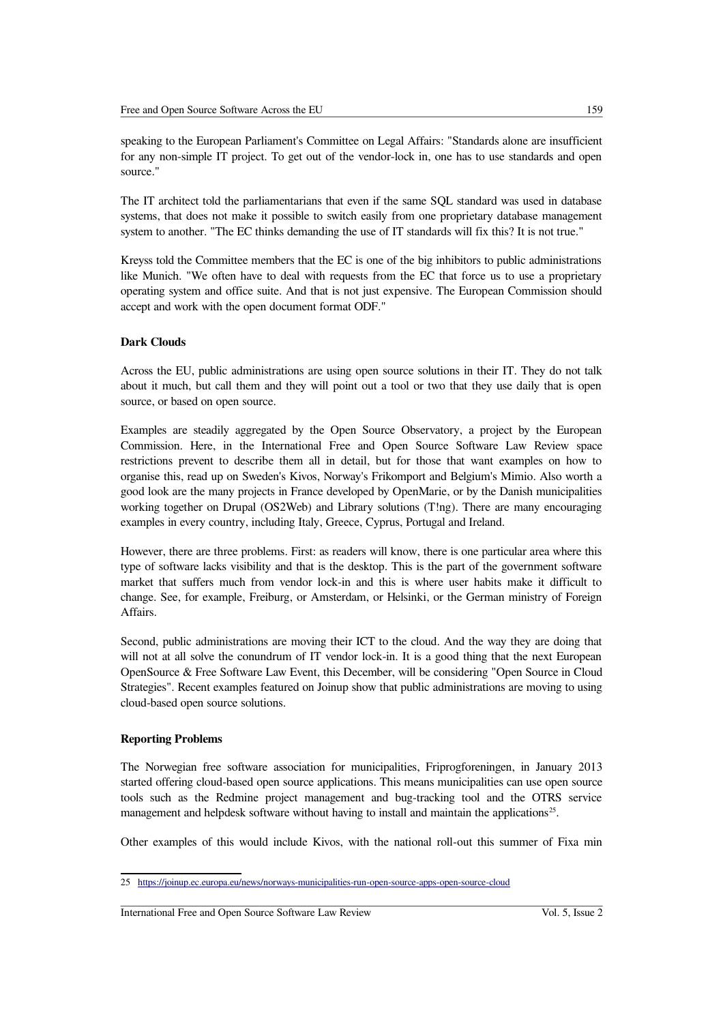speaking to the European Parliament's Committee on Legal Affairs: "Standards alone are insufficient for any non-simple IT project. To get out of the vendor-lock in, one has to use standards and open source."

The IT architect told the parliamentarians that even if the same SQL standard was used in database systems, that does not make it possible to switch easily from one proprietary database management system to another. "The EC thinks demanding the use of IT standards will fix this? It is not true."

Kreyss told the Committee members that the EC is one of the big inhibitors to public administrations like Munich. "We often have to deal with requests from the EC that force us to use a proprietary operating system and office suite. And that is not just expensive. The European Commission should accept and work with the open document format ODF."

## **Dark Clouds**

Across the EU, public administrations are using open source solutions in their IT. They do not talk about it much, but call them and they will point out a tool or two that they use daily that is open source, or based on open source.

Examples are steadily aggregated by the Open Source Observatory, a project by the European Commission. Here, in the International Free and Open Source Software Law Review space restrictions prevent to describe them all in detail, but for those that want examples on how to organise this, read up on Sweden's Kivos, Norway's Frikomport and Belgium's Mimio. Also worth a good look are the many projects in France developed by OpenMarie, or by the Danish municipalities working together on Drupal (OS2Web) and Library solutions (T!ng). There are many encouraging examples in every country, including Italy, Greece, Cyprus, Portugal and Ireland.

However, there are three problems. First: as readers will know, there is one particular area where this type of software lacks visibility and that is the desktop. This is the part of the government software market that suffers much from vendor lock-in and this is where user habits make it difficult to change. See, for example, Freiburg, or Amsterdam, or Helsinki, or the German ministry of Foreign Affairs.

Second, public administrations are moving their ICT to the cloud. And the way they are doing that will not at all solve the conundrum of IT vendor lock-in. It is a good thing that the next European OpenSource & Free Software Law Event, this December, will be considering "Open Source in Cloud Strategies". Recent examples featured on Joinup show that public administrations are moving to using cloud-based open source solutions.

## **Reporting Problems**

The Norwegian free software association for municipalities, Friprogforeningen, in January 2013 started offering cloud-based open source applications. This means municipalities can use open source tools such as the Redmine project management and bug-tracking tool and the OTRS service management and helpdesk software without having to install and maintain the applications<sup>[25](#page-6-0)</sup>.

Other examples of this would include Kivos, with the national roll-out this summer of Fixa min

<span id="page-6-0"></span><sup>25</sup> <https://joinup.ec.europa.eu/news/norways-municipalities-run-open-source-apps-open-source-cloud>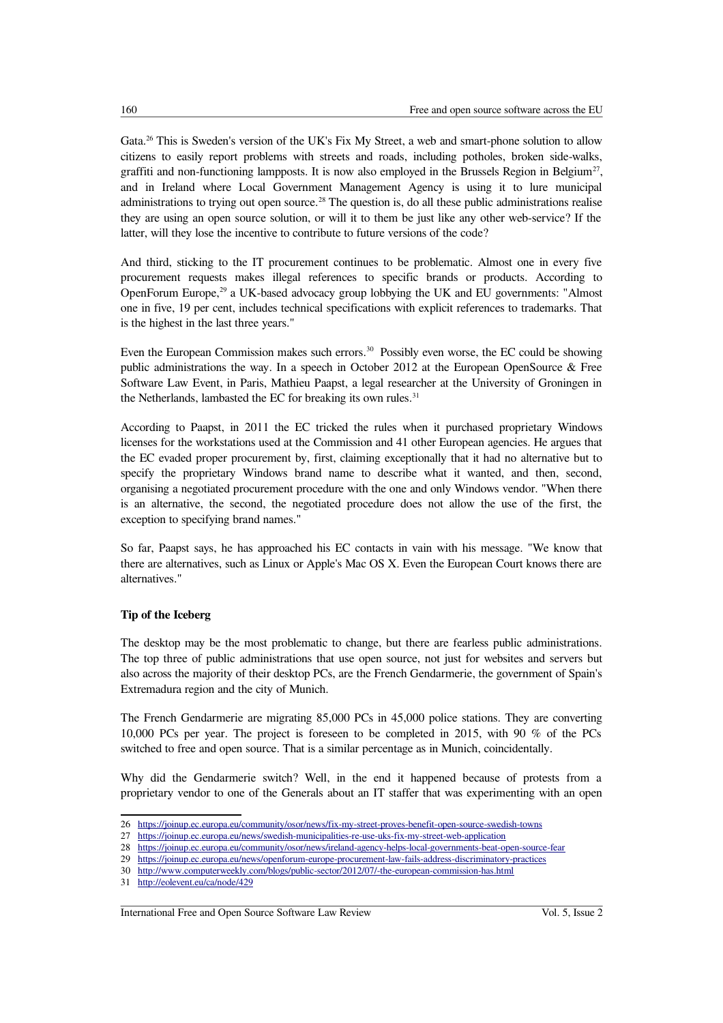Gata.<sup>[26](#page-7-0)</sup> This is Sweden's version of the UK's Fix My Street, a web and smart-phone solution to allow citizens to easily report problems with streets and roads, including potholes, broken side-walks, graffiti and non-functioning lampposts. It is now also employed in the Brussels Region in Belgium<sup>[27](#page-7-1)</sup>, and in Ireland where Local Government Management Agency is using it to lure municipal administrations to trying out open source.<sup>[28](#page-7-2)</sup> The question is, do all these public administrations realise they are using an open source solution, or will it to them be just like any other web-service? If the latter, will they lose the incentive to contribute to future versions of the code?

And third, sticking to the IT procurement continues to be problematic. Almost one in every five procurement requests makes illegal references to specific brands or products. According to OpenForum Europe,<sup>[29](#page-7-3)</sup> a UK-based advocacy group lobbying the UK and EU governments: "Almost" one in five, 19 per cent, includes technical specifications with explicit references to trademarks. That is the highest in the last three years."

Even the European Commission makes such errors.<sup>[30](#page-7-4)</sup> Possibly even worse, the EC could be showing public administrations the way. In a speech in October 2012 at the European OpenSource & Free Software Law Event, in Paris, Mathieu Paapst, a legal researcher at the University of Groningen in the Netherlands, lambasted the EC for breaking its own rules. $31$ 

According to Paapst, in 2011 the EC tricked the rules when it purchased proprietary Windows licenses for the workstations used at the Commission and 41 other European agencies. He argues that the EC evaded proper procurement by, first, claiming exceptionally that it had no alternative but to specify the proprietary Windows brand name to describe what it wanted, and then, second, organising a negotiated procurement procedure with the one and only Windows vendor. "When there is an alternative, the second, the negotiated procedure does not allow the use of the first, the exception to specifying brand names."

So far, Paapst says, he has approached his EC contacts in vain with his message. "We know that there are alternatives, such as Linux or Apple's Mac OS X. Even the European Court knows there are alternatives."

# **Tip of the Iceberg**

The desktop may be the most problematic to change, but there are fearless public administrations. The top three of public administrations that use open source, not just for websites and servers but also across the majority of their desktop PCs, are the French Gendarmerie, the government of Spain's Extremadura region and the city of Munich.

The French Gendarmerie are migrating 85,000 PCs in 45,000 police stations. They are converting 10,000 PCs per year. The project is foreseen to be completed in 2015, with 90 % of the PCs switched to free and open source. That is a similar percentage as in Munich, coincidentally.

Why did the Gendarmerie switch? Well, in the end it happened because of protests from a proprietary vendor to one of the Generals about an IT staffer that was experimenting with an open

<span id="page-7-0"></span><sup>26</sup> <https://joinup.ec.europa.eu/community/osor/news/fix-my-street-proves-benefit-open-source-swedish-towns>

<span id="page-7-1"></span><sup>27</sup> <https://joinup.ec.europa.eu/news/swedish-municipalities-re-use-uks-fix-my-street-web-application>

<span id="page-7-2"></span><sup>28</sup> <https://joinup.ec.europa.eu/community/osor/news/ireland-agency-helps-local-governments-beat-open-source-fear><br>29 https://joinup.ec.europa.eu/news/openforum-europe-procurement-law-fails-address-discriminatory-practices

<span id="page-7-3"></span><sup>29</sup> <https://joinup.ec.europa.eu/news/openforum-europe-procurement-law-fails-address-discriminatory-practices>

<span id="page-7-4"></span><sup>30</sup> <http://www.computerweekly.com/blogs/public-sector/2012/07/-the-european-commission-has.html>

<span id="page-7-5"></span><sup>31</sup> [http://eolevent.eu/ca/node/429](file:///C:/MY_STUFF/IFOSSLR/gijs/d/ifosslr/%20http://eolevent.eu/ca/node/429)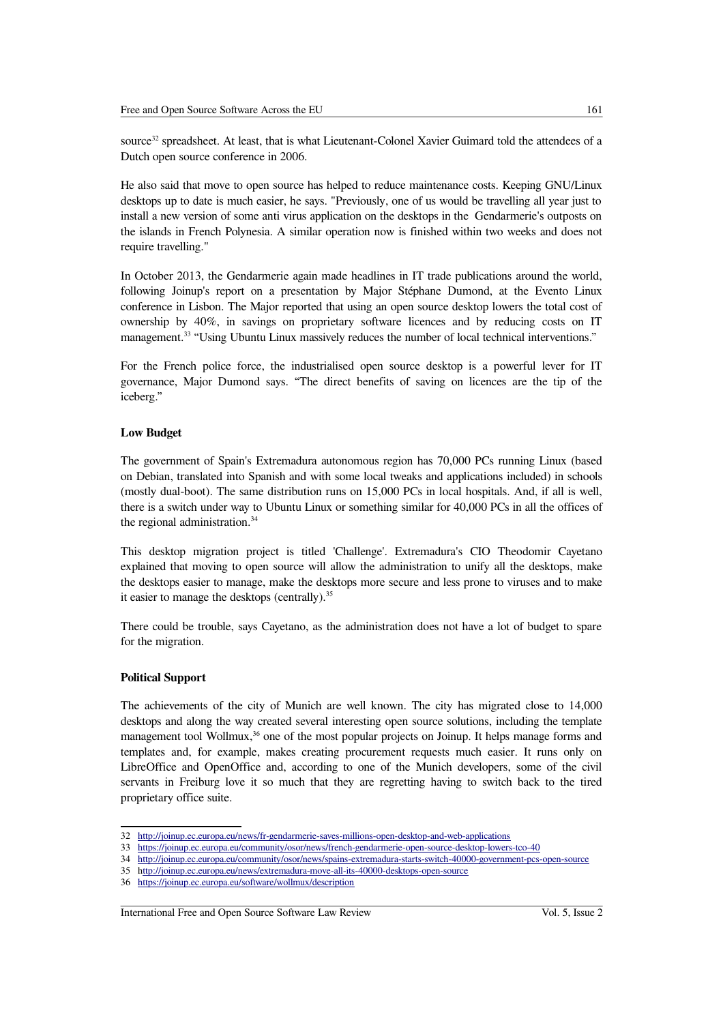source<sup>[32](#page-8-0)</sup> spreadsheet. At least, that is what Lieutenant-Colonel Xavier Guimard told the attendees of a Dutch open source conference in 2006.

He also said that move to open source has helped to reduce maintenance costs. Keeping GNU/Linux desktops up to date is much easier, he says. "Previously, one of us would be travelling all year just to install a new version of some anti virus application on the desktops in the Gendarmerie's outposts on the islands in French Polynesia. A similar operation now is finished within two weeks and does not require travelling."

In October 2013, the Gendarmerie again made headlines in IT trade publications around the world, following Joinup's report on a presentation by Major Stéphane Dumond, at the Evento Linux conference in Lisbon. The Major reported that using an open source desktop lowers the total cost of ownership by 40%, in savings on proprietary software licences and by reducing costs on IT management.<sup>[33](#page-8-1)</sup> "Using Ubuntu Linux massively reduces the number of local technical interventions."

For the French police force, the industrialised open source desktop is a powerful lever for IT governance, Major Dumond says. "The direct benefits of saving on licences are the tip of the iceberg."

## **Low Budget**

The government of Spain's Extremadura autonomous region has 70,000 PCs running Linux (based on Debian, translated into Spanish and with some local tweaks and applications included) in schools (mostly dual-boot). The same distribution runs on 15,000 PCs in local hospitals. And, if all is well, there is a switch under way to Ubuntu Linux or something similar for 40,000 PCs in all the offices of the regional administration.<sup>[34](#page-8-2)</sup>

This desktop migration project is titled 'Challenge'. Extremadura's CIO Theodomir Cayetano explained that moving to open source will allow the administration to unify all the desktops, make the desktops easier to manage, make the desktops more secure and less prone to viruses and to make it easier to manage the desktops (centrally). $35$ 

There could be trouble, says Cayetano, as the administration does not have a lot of budget to spare for the migration.

### **Political Support**

The achievements of the city of Munich are well known. The city has migrated close to 14,000 desktops and along the way created several interesting open source solutions, including the template management tool Wollmux, $36$  one of the most popular projects on Joinup. It helps manage forms and templates and, for example, makes creating procurement requests much easier. It runs only on LibreOffice and OpenOffice and, according to one of the Munich developers, some of the civil servants in Freiburg love it so much that they are regretting having to switch back to the tired proprietary office suite.

<span id="page-8-0"></span><sup>32</sup> <http://joinup.ec.europa.eu/news/fr-gendarmerie-saves-millions-open-desktop-and-web-applications>

<span id="page-8-1"></span><sup>33</sup> <https://joinup.ec.europa.eu/community/osor/news/french-gendarmerie-open-source-desktop-lowers-tco-40><br>34 http://joinup.ec.europa.eu/community/osor/news/spains-extremadura-starts-switch-40000-government-pcs-

<span id="page-8-2"></span><sup>34</sup> <http://joinup.ec.europa.eu/community/osor/news/spains-extremadura-starts-switch-40000-government-pcs-open-source>

<span id="page-8-3"></span><sup>35</sup> <http://joinup.ec.europa.eu/news/extremadura-move-all-its-40000-desktops-open-source>

<span id="page-8-4"></span><sup>36</sup> <https://joinup.ec.europa.eu/software/wollmux/description>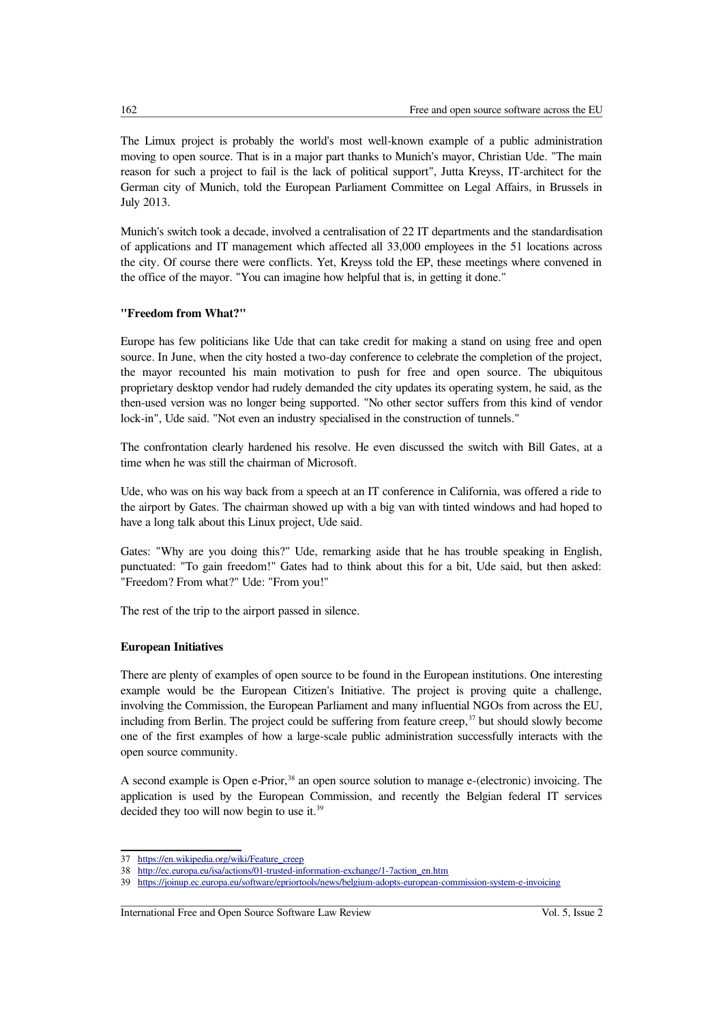The Limux project is probably the world's most well-known example of a public administration moving to open source. That is in a major part thanks to Munich's mayor, Christian Ude. "The main reason for such a project to fail is the lack of political support", Jutta Kreyss, IT-architect for the German city of Munich, told the European Parliament Committee on Legal Affairs, in Brussels in July 2013.

Munich's switch took a decade, involved a centralisation of 22 IT departments and the standardisation of applications and IT management which affected all 33,000 employees in the 51 locations across the city. Of course there were conflicts. Yet, Kreyss told the EP, these meetings where convened in the office of the mayor. "You can imagine how helpful that is, in getting it done."

# **"Freedom from What?"**

Europe has few politicians like Ude that can take credit for making a stand on using free and open source. In June, when the city hosted a two-day conference to celebrate the completion of the project, the mayor recounted his main motivation to push for free and open source. The ubiquitous proprietary desktop vendor had rudely demanded the city updates its operating system, he said, as the then-used version was no longer being supported. "No other sector suffers from this kind of vendor lock-in", Ude said. "Not even an industry specialised in the construction of tunnels."

The confrontation clearly hardened his resolve. He even discussed the switch with Bill Gates, at a time when he was still the chairman of Microsoft.

Ude, who was on his way back from a speech at an IT conference in California, was offered a ride to the airport by Gates. The chairman showed up with a big van with tinted windows and had hoped to have a long talk about this Linux project, Ude said.

Gates: "Why are you doing this?" Ude, remarking aside that he has trouble speaking in English, punctuated: "To gain freedom!" Gates had to think about this for a bit, Ude said, but then asked: "Freedom? From what?" Ude: "From you!"

The rest of the trip to the airport passed in silence.

## **European Initiatives**

There are plenty of examples of open source to be found in the European institutions. One interesting example would be the European Citizen's Initiative. The project is proving quite a challenge, involving the Commission, the European Parliament and many influential NGOs from across the EU, including from Berlin. The project could be suffering from feature creep, $37$  but should slowly become one of the first examples of how a large-scale public administration successfully interacts with the open source community.

A second example is Open e-Prior,<sup>[38](#page-9-1)</sup> an open source solution to manage e-(electronic) invoicing. The application is used by the European Commission, and recently the Belgian federal IT services decided they too will now begin to use it.<sup>[39](#page-9-2)</sup>

<span id="page-9-0"></span><sup>37</sup> [https://en.wikipedia.org/wiki/Feature\\_creep](https://en.wikipedia.org/wiki/Feature_creep)

<span id="page-9-1"></span><sup>38</sup> [http://ec.europa.eu/isa/actions/01-trusted-information-exchange/1-7action\\_en.htm](http://ec.europa.eu/isa/actions/01-trusted-information-exchange/1-7action_en.htm)

<span id="page-9-2"></span><sup>39</sup> <https://joinup.ec.europa.eu/software/epriortools/news/belgium-adopts-european-commission-system-e-invoicing>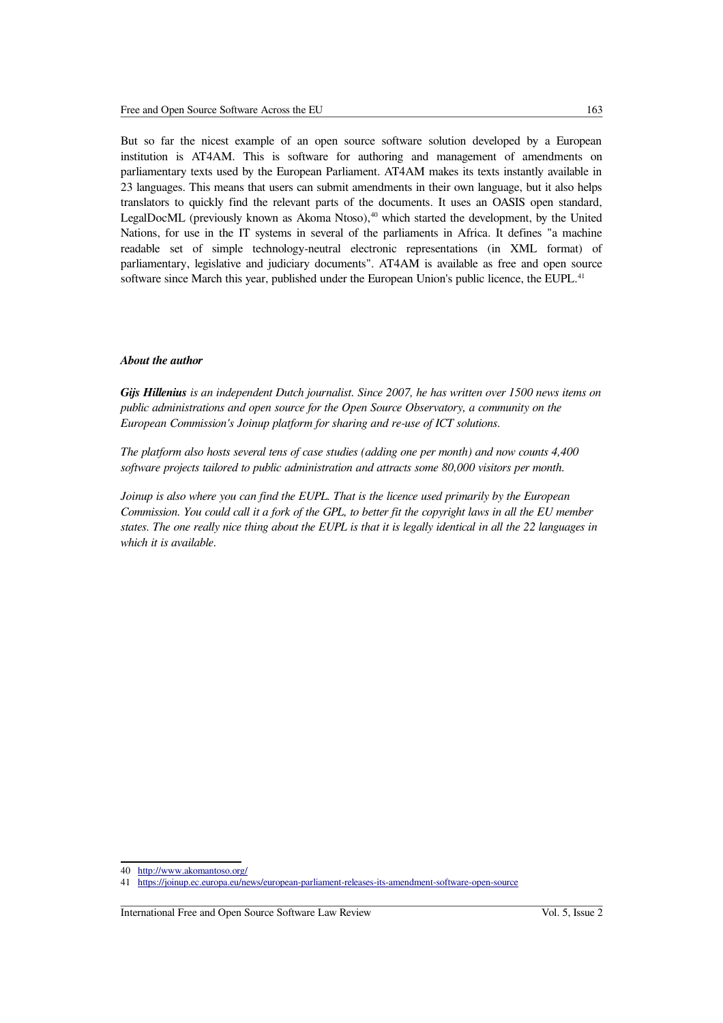But so far the nicest example of an open source software solution developed by a European institution is AT4AM. This is software for authoring and management of amendments on parliamentary texts used by the European Parliament. AT4AM makes its texts instantly available in 23 languages. This means that users can submit amendments in their own language, but it also helps translators to quickly find the relevant parts of the documents. It uses an OASIS open standard, LegalDocML (previously known as Akoma Ntoso), $40$  which started the development, by the United Nations, for use in the IT systems in several of the parliaments in Africa. It defines "a machine readable set of simple technology-neutral electronic representations (in XML format) of parliamentary, legislative and judiciary documents". AT4AM is available as free and open source software since March this year, published under the European Union's public licence, the EUPL.<sup>[41](#page-10-1)</sup>

#### *About the author*

*Gijs Hillenius is an independent Dutch journalist. Since 2007, he has written over 1500 news items on public administrations and open source for the Open Source Observatory, a community on the European Commission's Joinup platform for sharing and re-use of ICT solutions.* 

*The platform also hosts several tens of case studies (adding one per month) and now counts 4,400 software projects tailored to public administration and attracts some 80,000 visitors per month.*

*Joinup is also where you can find the EUPL. That is the licence used primarily by the European Commission. You could call it a fork of the GPL, to better fit the copyright laws in all the EU member states. The one really nice thing about the EUPL is that it is legally identical in all the 22 languages in which it is available.*

<span id="page-10-0"></span><sup>40</sup> <http://www.akomantoso.org/>

<span id="page-10-1"></span><sup>41</sup> <https://joinup.ec.europa.eu/news/european-parliament-releases-its-amendment-software-open-source>